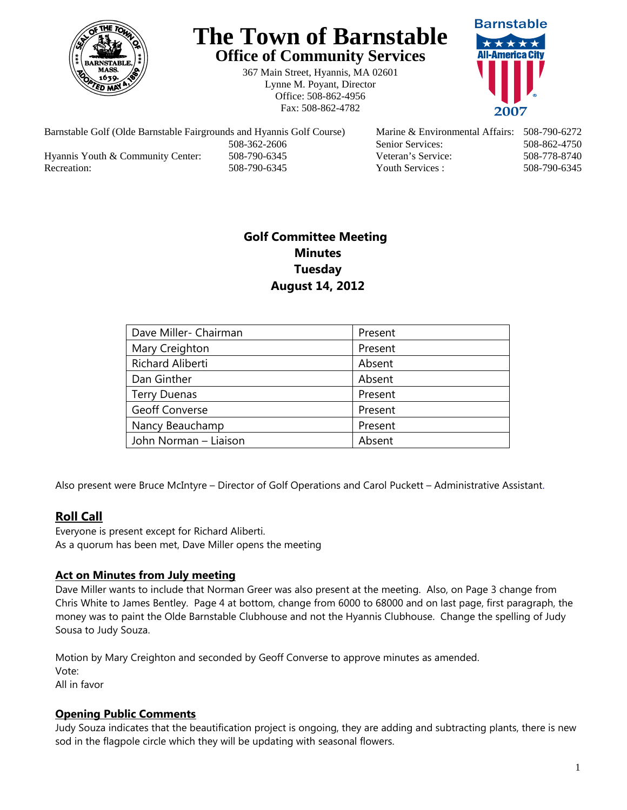

# **The Town of Barnstable Office of Community Services**

367 Main Street, Hyannis, MA 02601 Lynne M. Poyant, Director Office: 508-862-4956 Fax: 508-862-4782



Barnstable Golf (Olde Barnstable Fairgrounds and Hyannis Golf Course) Marine & Environmental Affairs: 508-790-6272 508-362-2606 Senior Services: 508-862-4750 Hyannis Youth & Community Center: 508-790-6345 Veteran's Service: 508-778-8740 Recreation: 508-790-6345 Youth Services : 508-790-6345 S08-790-6345

# **Golf Committee Meeting Minutes Tuesday August 14, 2012**

| Dave Miller- Chairman | Present |
|-----------------------|---------|
| Mary Creighton        | Present |
| Richard Aliberti      | Absent  |
| Dan Ginther           | Absent  |
| <b>Terry Duenas</b>   | Present |
| <b>Geoff Converse</b> | Present |
| Nancy Beauchamp       | Present |
| John Norman - Liaison | Absent  |

Also present were Bruce McIntyre – Director of Golf Operations and Carol Puckett – Administrative Assistant.

# **Roll Call**

Everyone is present except for Richard Aliberti. As a quorum has been met, Dave Miller opens the meeting

# **Act on Minutes from July meeting**

Dave Miller wants to include that Norman Greer was also present at the meeting. Also, on Page 3 change from Chris White to James Bentley. Page 4 at bottom, change from 6000 to 68000 and on last page, first paragraph, the money was to paint the Olde Barnstable Clubhouse and not the Hyannis Clubhouse. Change the spelling of Judy Sousa to Judy Souza.

Motion by Mary Creighton and seconded by Geoff Converse to approve minutes as amended. Vote: All in favor

# **Opening Public Comments**

Judy Souza indicates that the beautification project is ongoing, they are adding and subtracting plants, there is new sod in the flagpole circle which they will be updating with seasonal flowers.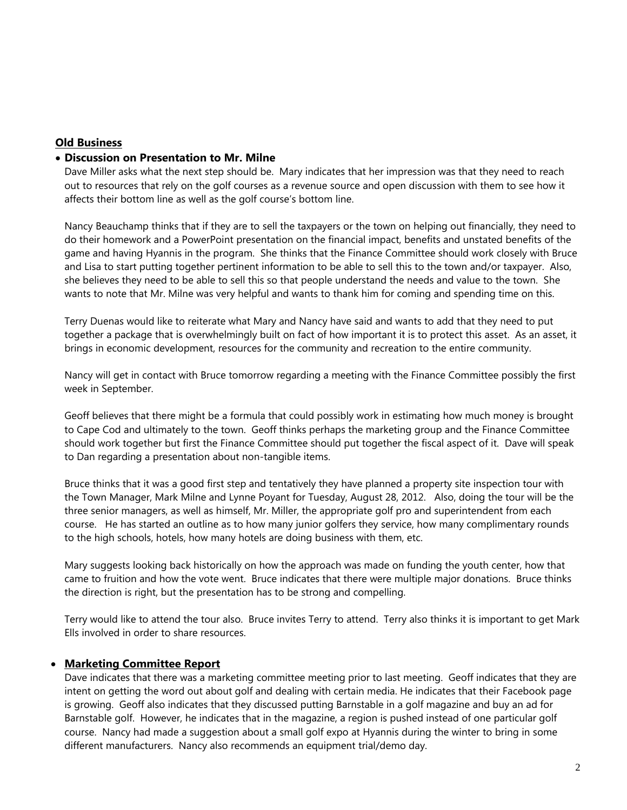# **Old Business**

### **Discussion on Presentation to Mr. Milne**

Dave Miller asks what the next step should be. Mary indicates that her impression was that they need to reach out to resources that rely on the golf courses as a revenue source and open discussion with them to see how it affects their bottom line as well as the golf course's bottom line.

Nancy Beauchamp thinks that if they are to sell the taxpayers or the town on helping out financially, they need to do their homework and a PowerPoint presentation on the financial impact, benefits and unstated benefits of the game and having Hyannis in the program. She thinks that the Finance Committee should work closely with Bruce and Lisa to start putting together pertinent information to be able to sell this to the town and/or taxpayer. Also, she believes they need to be able to sell this so that people understand the needs and value to the town. She wants to note that Mr. Milne was very helpful and wants to thank him for coming and spending time on this.

Terry Duenas would like to reiterate what Mary and Nancy have said and wants to add that they need to put together a package that is overwhelmingly built on fact of how important it is to protect this asset. As an asset, it brings in economic development, resources for the community and recreation to the entire community.

Nancy will get in contact with Bruce tomorrow regarding a meeting with the Finance Committee possibly the first week in September.

Geoff believes that there might be a formula that could possibly work in estimating how much money is brought to Cape Cod and ultimately to the town. Geoff thinks perhaps the marketing group and the Finance Committee should work together but first the Finance Committee should put together the fiscal aspect of it. Dave will speak to Dan regarding a presentation about non-tangible items.

Bruce thinks that it was a good first step and tentatively they have planned a property site inspection tour with the Town Manager, Mark Milne and Lynne Poyant for Tuesday, August 28, 2012. Also, doing the tour will be the three senior managers, as well as himself, Mr. Miller, the appropriate golf pro and superintendent from each course. He has started an outline as to how many junior golfers they service, how many complimentary rounds to the high schools, hotels, how many hotels are doing business with them, etc.

Mary suggests looking back historically on how the approach was made on funding the youth center, how that came to fruition and how the vote went. Bruce indicates that there were multiple major donations. Bruce thinks the direction is right, but the presentation has to be strong and compelling.

Terry would like to attend the tour also. Bruce invites Terry to attend. Terry also thinks it is important to get Mark Ells involved in order to share resources.

#### **Marketing Committee Report**

Dave indicates that there was a marketing committee meeting prior to last meeting. Geoff indicates that they are intent on getting the word out about golf and dealing with certain media. He indicates that their Facebook page is growing. Geoff also indicates that they discussed putting Barnstable in a golf magazine and buy an ad for Barnstable golf. However, he indicates that in the magazine, a region is pushed instead of one particular golf course. Nancy had made a suggestion about a small golf expo at Hyannis during the winter to bring in some different manufacturers. Nancy also recommends an equipment trial/demo day.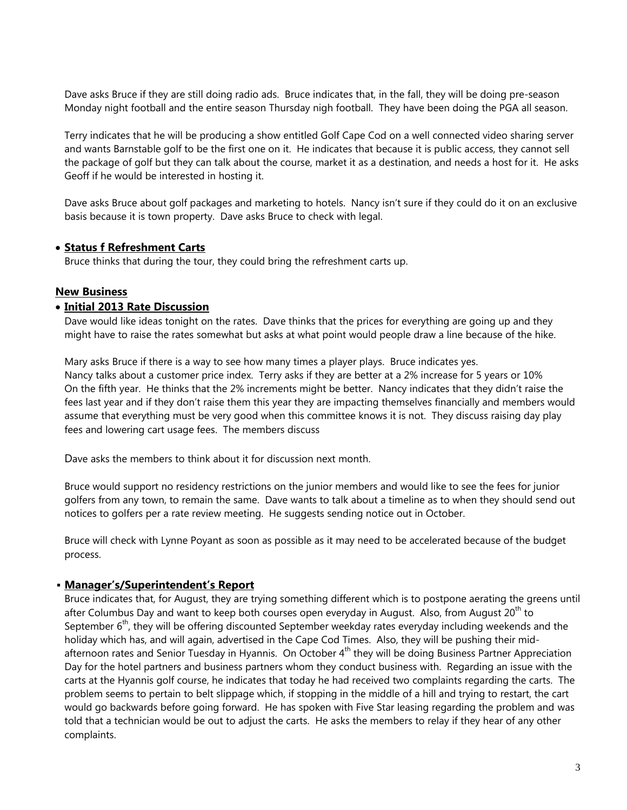Dave asks Bruce if they are still doing radio ads. Bruce indicates that, in the fall, they will be doing pre-season Monday night football and the entire season Thursday nigh football. They have been doing the PGA all season.

Terry indicates that he will be producing a show entitled Golf Cape Cod on a well connected video sharing server and wants Barnstable golf to be the first one on it. He indicates that because it is public access, they cannot sell the package of golf but they can talk about the course, market it as a destination, and needs a host for it. He asks Geoff if he would be interested in hosting it.

Dave asks Bruce about golf packages and marketing to hotels. Nancy isn't sure if they could do it on an exclusive basis because it is town property. Dave asks Bruce to check with legal.

# **Status f Refreshment Carts**

Bruce thinks that during the tour, they could bring the refreshment carts up.

#### **New Business**

#### **Initial 2013 Rate Discussion**

Dave would like ideas tonight on the rates. Dave thinks that the prices for everything are going up and they might have to raise the rates somewhat but asks at what point would people draw a line because of the hike.

Mary asks Bruce if there is a way to see how many times a player plays. Bruce indicates yes. Nancy talks about a customer price index. Terry asks if they are better at a 2% increase for 5 years or 10% On the fifth year. He thinks that the 2% increments might be better. Nancy indicates that they didn't raise the fees last year and if they don't raise them this year they are impacting themselves financially and members would assume that everything must be very good when this committee knows it is not. They discuss raising day play fees and lowering cart usage fees. The members discuss

Dave asks the members to think about it for discussion next month.

Bruce would support no residency restrictions on the junior members and would like to see the fees for junior golfers from any town, to remain the same. Dave wants to talk about a timeline as to when they should send out notices to golfers per a rate review meeting. He suggests sending notice out in October.

Bruce will check with Lynne Poyant as soon as possible as it may need to be accelerated because of the budget process.

#### ▪ **Manager's/Superintendent's Report**

Bruce indicates that, for August, they are trying something different which is to postpone aerating the greens until after Columbus Day and want to keep both courses open everyday in August. Also, from August 20<sup>th</sup> to September  $6<sup>th</sup>$ , they will be offering discounted September weekday rates everyday including weekends and the holiday which has, and will again, advertised in the Cape Cod Times. Also, they will be pushing their midafternoon rates and Senior Tuesday in Hyannis. On October 4<sup>th</sup> they will be doing Business Partner Appreciation Day for the hotel partners and business partners whom they conduct business with. Regarding an issue with the carts at the Hyannis golf course, he indicates that today he had received two complaints regarding the carts. The problem seems to pertain to belt slippage which, if stopping in the middle of a hill and trying to restart, the cart would go backwards before going forward. He has spoken with Five Star leasing regarding the problem and was told that a technician would be out to adjust the carts. He asks the members to relay if they hear of any other complaints.